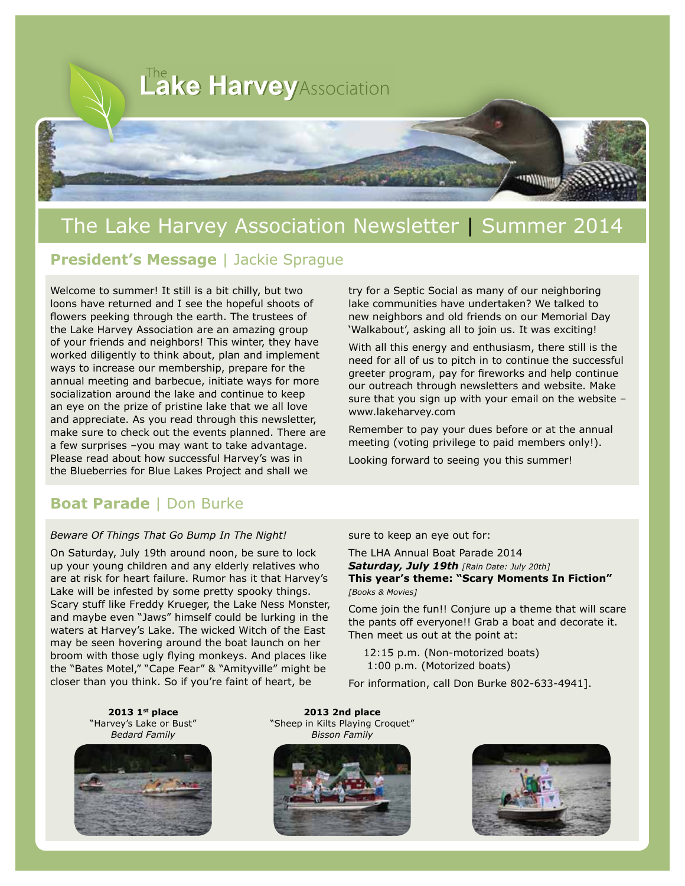

# The Lake Harvey Association Newsletter | Summer 2014

#### **President's Message** | Jackie Sprague

Welcome to summer! It still is a bit chilly, but two loons have returned and I see the hopeful shoots of flowers peeking through the earth. The trustees of the Lake Harvey Association are an amazing group of your friends and neighbors! This winter, they have worked diligently to think about, plan and implement ways to increase our membership, prepare for the annual meeting and barbecue, initiate ways for more socialization around the lake and continue to keep an eye on the prize of pristine lake that we all love and appreciate. As you read through this newsletter, make sure to check out the events planned. There are a few surprises –you may want to take advantage. Please read about how successful Harvey's was in the Blueberries for Blue Lakes Project and shall we

#### **Boat Parade** | Don Burke

#### *Beware Of Things That Go Bump In The Night!*

On Saturday, July 19th around noon, be sure to lock up your young children and any elderly relatives who are at risk for heart failure. Rumor has it that Harvey's Lake will be infested by some pretty spooky things. Scary stuff like Freddy Krueger, the Lake Ness Monster, and maybe even "Jaws" himself could be lurking in the waters at Harvey's Lake. The wicked Witch of the East may be seen hovering around the boat launch on her broom with those ugly flying monkeys. And places like the "Bates Motel," "Cape Fear" & "Amityville" might be closer than you think. So if you're faint of heart, be

try for a Septic Social as many of our neighboring lake communities have undertaken? We talked to new neighbors and old friends on our Memorial Day 'Walkabout', asking all to join us. It was exciting!

With all this energy and enthusiasm, there still is the need for all of us to pitch in to continue the successful greeter program, pay for fireworks and help continue our outreach through newsletters and website. Make sure that you sign up with your email on the website – www.lakeharvey.com

Remember to pay your dues before or at the annual meeting (voting privilege to paid members only!).

Looking forward to seeing you this summer!

#### sure to keep an eye out for:

The LHA Annual Boat Parade 2014 *Saturday, July 19th [Rain Date: July 20th]* **This year's theme: "Scary Moments In Fiction"** *[Books & Movies]*

Come join the fun!! Conjure up a theme that will scare the pants off everyone!! Grab a boat and decorate it. Then meet us out at the point at:

12:15 p.m. (Non-motorized boats) 1:00 p.m. (Motorized boats)

For information, call Don Burke 802-633-4941].

**2013 1st place**  "Harvey's Lake or Bust" *Bedard Family*



**2013 2nd place**  "Sheep in Kilts Playing Croquet" *Bisson Family*



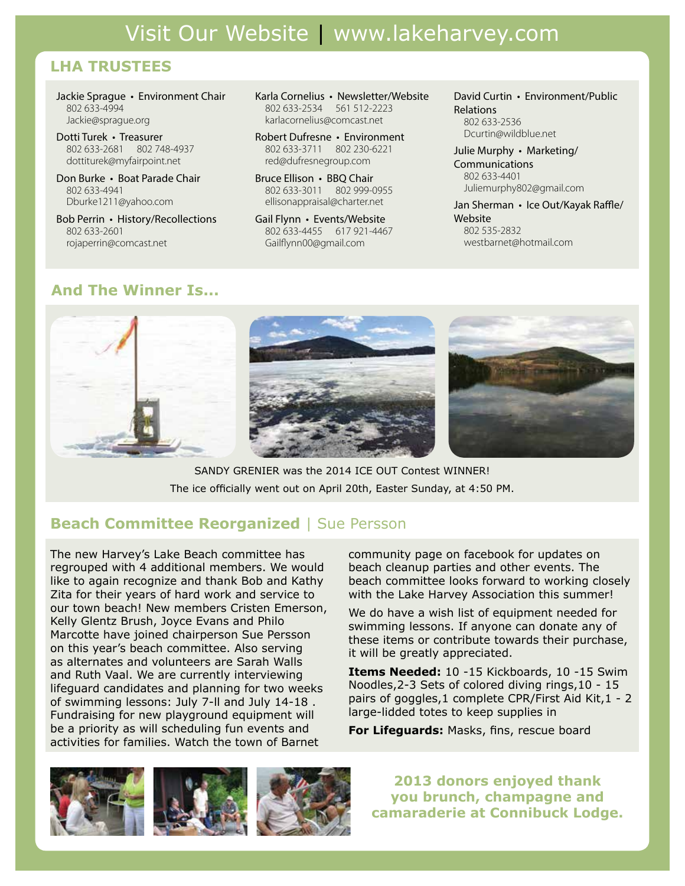#### **LHA TRUSTEES**

Jackie Sprague • Environment Chair 802 633-4994 Jackie@sprague.org

Dotti Turek • Treasurer 802 633-2681 802 748-4937 dottiturek@myfairpoint.net

Don Burke • Boat Parade Chair 802 633-4941 Dburke1211@yahoo.com

Bob Perrin • History/Recollections 802 633-2601 rojaperrin@comcast.net

Karla Cornelius • Newsletter/Website 802 633-2534 561 512-2223 karlacornelius@comcast.net

Robert Dufresne • Environment 802 633-3711 802 230-6221 red@dufresnegroup.com

Bruce Ellison • BBQ Chair 802 633-3011 802 999-0955 ellisonappraisal@charter.net

Gail Flynn • Events/Website 802 633-4455 617 921-4467 Gailflynn00@gmail.com

David Curtin • Environment/Public Relations 802 633-2536

Dcurtin@wildblue.net

Julie Murphy • Marketing/ Communications 802 633-4401 Juliemurphy802@gmail.com

Jan Sherman • Ice Out/Kayak Raffle/ Website 802 535-2832 westbarnet@hotmail.com

### **And The Winner Is...**



SANDY GRENIER was the 2014 ICE OUT Contest WINNER! The ice officially went out on April 20th, Easter Sunday, at 4:50 PM.

#### **Beach Committee Reorganized** | Sue Persson

The new Harvey's Lake Beach committee has regrouped with 4 additional members. We would like to again recognize and thank Bob and Kathy Zita for their years of hard work and service to our town beach! New members Cristen Emerson, Kelly Glentz Brush, Joyce Evans and Philo Marcotte have joined chairperson Sue Persson on this year's beach committee. Also serving as alternates and volunteers are Sarah Walls and Ruth Vaal. We are currently interviewing lifeguard candidates and planning for two weeks of swimming lessons: July 7-ll and July 14-18 . Fundraising for new playground equipment will be a priority as will scheduling fun events and activities for families. Watch the town of Barnet

community page on facebook for updates on beach cleanup parties and other events. The beach committee looks forward to working closely with the Lake Harvey Association this summer!

We do have a wish list of equipment needed for swimming lessons. If anyone can donate any of these items or contribute towards their purchase, it will be greatly appreciated.

**Items Needed:** 10 -15 Kickboards, 10 -15 Swim Noodles,2-3 Sets of colored diving rings,10 - 15 pairs of goggles,1 complete CPR/First Aid Kit,1 - 2 large-lidded totes to keep supplies in

**For Lifeguards:** Masks, fins, rescue board



**2013 donors enjoyed thank you brunch, champagne and camaraderie at Connibuck Lodge.**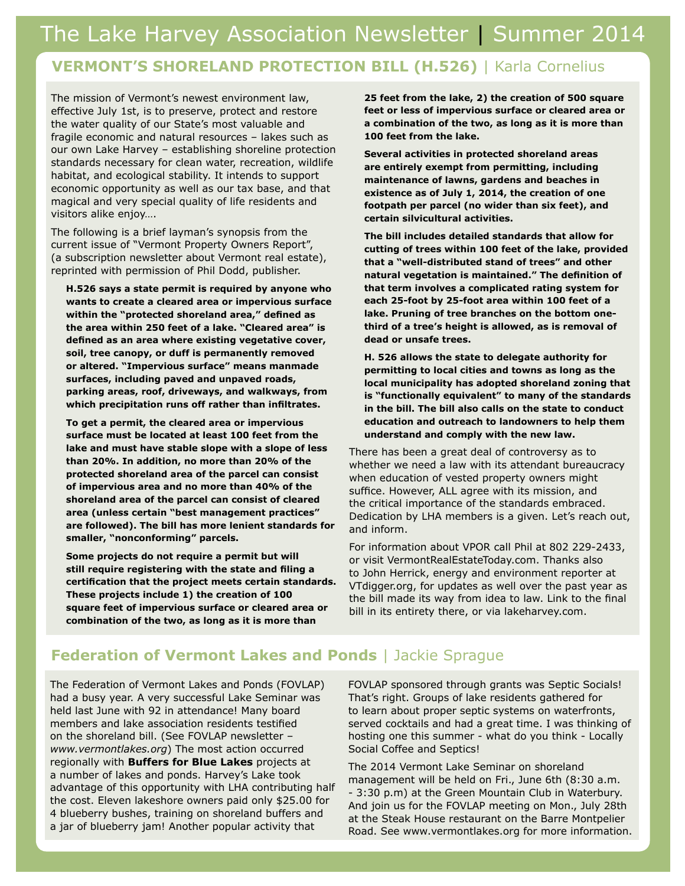#### **VERMONT'S SHORELAND PROTECTION BILL (H.526)** | Karla Cornelius

The mission of Vermont's newest environment law, effective July 1st, is to preserve, protect and restore the water quality of our State's most valuable and fragile economic and natural resources – lakes such as our own Lake Harvey – establishing shoreline protection standards necessary for clean water, recreation, wildlife habitat, and ecological stability. It intends to support economic opportunity as well as our tax base, and that magical and very special quality of life residents and visitors alike enjoy….

The following is a brief layman's synopsis from the current issue of "Vermont Property Owners Report", (a subscription newsletter about Vermont real estate), reprinted with permission of Phil Dodd, publisher.

**H.526 says a state permit is required by anyone who wants to create a cleared area or impervious surface within the "protected shoreland area," defined as the area within 250 feet of a lake. "Cleared area" is defined as an area where existing vegetative cover, soil, tree canopy, or duff is permanently removed or altered. "Impervious surface" means manmade surfaces, including paved and unpaved roads, parking areas, roof, driveways, and walkways, from which precipitation runs off rather than infiltrates.**

**To get a permit, the cleared area or impervious surface must be located at least 100 feet from the lake and must have stable slope with a slope of less than 20%. In addition, no more than 20% of the protected shoreland area of the parcel can consist of impervious area and no more than 40% of the shoreland area of the parcel can consist of cleared area (unless certain "best management practices" are followed). The bill has more lenient standards for smaller, "nonconforming" parcels.**

**Some projects do not require a permit but will still require registering with the state and filing a certification that the project meets certain standards. These projects include 1) the creation of 100 square feet of impervious surface or cleared area or combination of the two, as long as it is more than** 

**25 feet from the lake, 2) the creation of 500 square feet or less of impervious surface or cleared area or a combination of the two, as long as it is more than 100 feet from the lake.**

**Several activities in protected shoreland areas are entirely exempt from permitting, including maintenance of lawns, gardens and beaches in existence as of July 1, 2014, the creation of one footpath per parcel (no wider than six feet), and certain silvicultural activities.**

**The bill includes detailed standards that allow for cutting of trees within 100 feet of the lake, provided that a "well-distributed stand of trees" and other natural vegetation is maintained." The definition of that term involves a complicated rating system for each 25-foot by 25-foot area within 100 feet of a lake. Pruning of tree branches on the bottom onethird of a tree's height is allowed, as is removal of dead or unsafe trees.**

**H. 526 allows the state to delegate authority for permitting to local cities and towns as long as the local municipality has adopted shoreland zoning that is "functionally equivalent" to many of the standards in the bill. The bill also calls on the state to conduct education and outreach to landowners to help them understand and comply with the new law.**

There has been a great deal of controversy as to whether we need a law with its attendant bureaucracy when education of vested property owners might suffice. However, ALL agree with its mission, and the critical importance of the standards embraced. Dedication by LHA members is a given. Let's reach out, and inform.

For information about VPOR call Phil at 802 229-2433, or visit VermontRealEstateToday.com. Thanks also to John Herrick, energy and environment reporter at VTdigger.org, for updates as well over the past year as the bill made its way from idea to law. Link to the final bill in its entirety there, or via lakeharvey.com.

#### **Federation of Vermont Lakes and Ponds** | Jackie Sprague

The Federation of Vermont Lakes and Ponds (FOVLAP) had a busy year. A very successful Lake Seminar was held last June with 92 in attendance! Many board members and lake association residents testified on the shoreland bill. (See FOVLAP newsletter – *www.vermontlakes.org*) The most action occurred regionally with **Buffers for Blue Lakes** projects at a number of lakes and ponds. Harvey's Lake took advantage of this opportunity with LHA contributing half the cost. Eleven lakeshore owners paid only \$25.00 for 4 blueberry bushes, training on shoreland buffers and a jar of blueberry jam! Another popular activity that

FOVLAP sponsored through grants was Septic Socials! That's right. Groups of lake residents gathered for to learn about proper septic systems on waterfronts, served cocktails and had a great time. I was thinking of hosting one this summer - what do you think - Locally Social Coffee and Septics!

The 2014 Vermont Lake Seminar on shoreland management will be held on Fri., June 6th (8:30 a.m. - 3:30 p.m) at the Green Mountain Club in Waterbury. And join us for the FOVLAP meeting on Mon., July 28th at the Steak House restaurant on the Barre Montpelier Road. See www.vermontlakes.org for more information.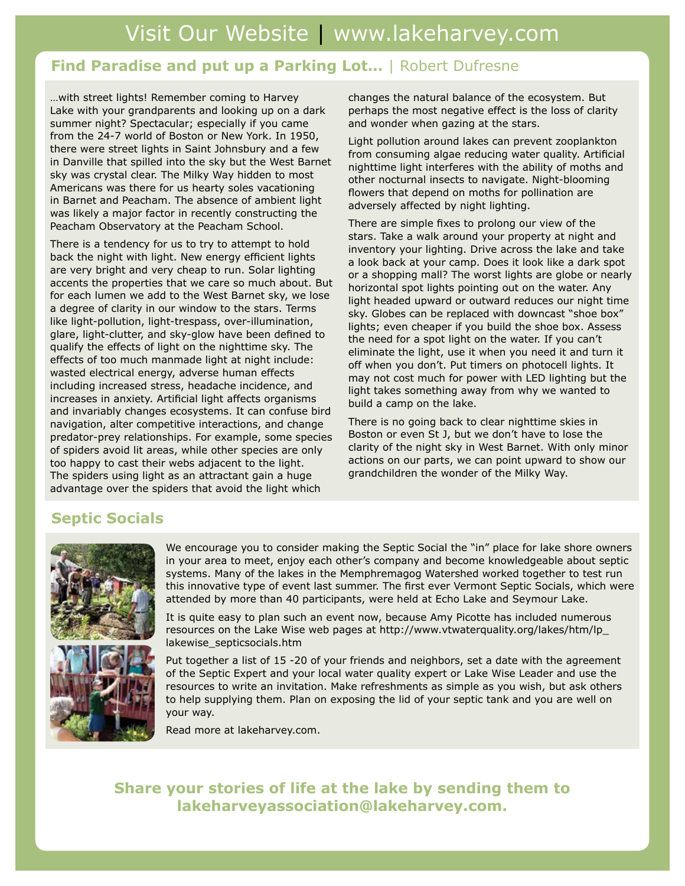#### **Find Paradise and put up a Parking Lot…** | Robert Dufresne

…with street lights! Remember coming to Harvey Lake with your grandparents and looking up on a dark summer night? Spectacular; especially if you came from the 24-7 world of Boston or New York. In 1950, there were street lights in Saint Johnsbury and a few in Danville that spilled into the sky but the West Barnet sky was crystal clear. The Milky Way hidden to most Americans was there for us hearty soles vacationing in Barnet and Peacham. The absence of ambient light was likely a major factor in recently constructing the Peacham Observatory at the Peacham School.

There is a tendency for us to try to attempt to hold back the night with light. New energy efficient lights are very bright and very cheap to run. Solar lighting accents the properties that we care so much about. But for each lumen we add to the West Barnet sky, we lose a degree of clarity in our window to the stars. Terms like light-pollution, light-trespass, over-illumination, glare, light-clutter, and sky-glow have been defined to qualify the effects of light on the nighttime sky. The effects of too much manmade light at night include: wasted electrical energy, adverse human effects including increased stress, headache incidence, and increases in anxiety. Artificial light affects organisms and invariably changes ecosystems. It can confuse bird navigation, alter competitive interactions, and change predator-prey relationships. For example, some species of spiders avoid lit areas, while other species are only too happy to cast their webs adjacent to the light. The spiders using light as an attractant gain a huge advantage over the spiders that avoid the light which

changes the natural balance of the ecosystem. But perhaps the most negative effect is the loss of clarity and wonder when gazing at the stars.

Light pollution around lakes can prevent zooplankton from consuming algae reducing water quality. Artificial nighttime light interferes with the ability of moths and other nocturnal insects to navigate. Night-blooming flowers that depend on moths for pollination are adversely affected by night lighting.

There are simple fixes to prolong our view of the stars. Take a walk around your property at night and inventory your lighting. Drive across the lake and take a look back at your camp. Does it look like a dark spot or a shopping mall? The worst lights are globe or nearly horizontal spot lights pointing out on the water. Any light headed upward or outward reduces our night time sky. Globes can be replaced with downcast "shoe box" lights; even cheaper if you build the shoe box. Assess the need for a spot light on the water. If you can't eliminate the light, use it when you need it and turn it off when you don't. Put timers on photocell lights. It may not cost much for power with LED lighting but the light takes something away from why we wanted to build a camp on the lake.

There is no going back to clear nighttime skies in Boston or even St J, but we don't have to lose the clarity of the night sky in West Barnet. With only minor actions on our parts, we can point upward to show our grandchildren the wonder of the Milky Way.

#### **Septic Socials**



We encourage you to consider making the Septic Social the "in" place for lake shore owners in your area to meet, enjoy each other's company and become knowledgeable about septic systems. Many of the lakes in the Memphremagog Watershed worked together to test run this innovative type of event last summer. The first ever Vermont Septic Socials, which were attended by more than 40 participants, were held at Echo Lake and Seymour Lake.

It is quite easy to plan such an event now, because Amy Picotte has included numerous resources on the Lake Wise web pages at http://www.vtwaterquality.org/lakes/htm/lp\_ lakewise\_septicsocials.htm

Put together a list of 15 -20 of your friends and neighbors, set a date with the agreement of the Septic Expert and your local water quality expert or Lake Wise Leader and use the resources to write an invitation. Make refreshments as simple as you wish, but ask others to help supplying them. Plan on exposing the lid of your septic tank and you are well on your way.

Read more at lakeharvey.com.

**Share your stories of life at the lake by sending them to lakeharveyassociation@lakeharvey.com.**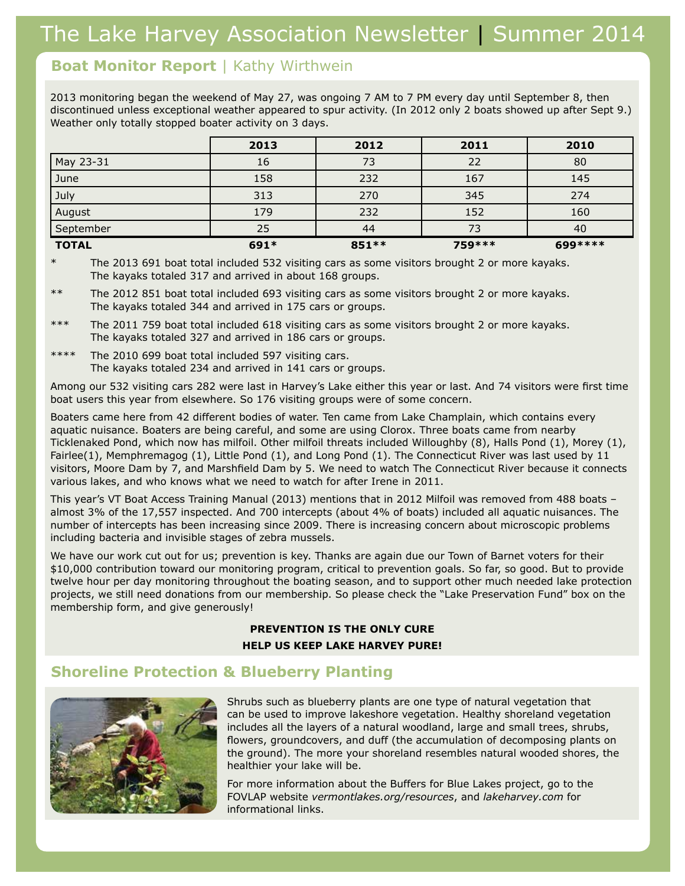#### **Boat Monitor Report** | Kathy Wirthwein

2013 monitoring began the weekend of May 27, was ongoing 7 AM to 7 PM every day until September 8, then discontinued unless exceptional weather appeared to spur activity. (In 2012 only 2 boats showed up after Sept 9.) Weather only totally stopped boater activity on 3 days.

|              | 2013   | 2012   | 2011    | 2010     |
|--------------|--------|--------|---------|----------|
| May 23-31    | 16     | 73     | 22      | 80       |
| June         | 158    | 232    | 167     | 145      |
| July         | 313    | 270    | 345     | 274      |
| August       | 179    | 232    | 152     | 160      |
| September    | 25     | 44     | 73      | 40       |
| <b>TOTAL</b> | $691*$ | 851 ** | 759 *** | 699 **** |

The 2013 691 boat total included 532 visiting cars as some visitors brought 2 or more kayaks. The kayaks totaled 317 and arrived in about 168 groups.

The 2012 851 boat total included 693 visiting cars as some visitors brought 2 or more kayaks. The kayaks totaled 344 and arrived in 175 cars or groups.

\*\*\* The 2011 759 boat total included 618 visiting cars as some visitors brought 2 or more kayaks. The kayaks totaled 327 and arrived in 186 cars or groups.

\*\*\*\* The 2010 699 boat total included 597 visiting cars. The kayaks totaled 234 and arrived in 141 cars or groups.

Among our 532 visiting cars 282 were last in Harvey's Lake either this year or last. And 74 visitors were first time boat users this year from elsewhere. So 176 visiting groups were of some concern.

Boaters came here from 42 different bodies of water. Ten came from Lake Champlain, which contains every aquatic nuisance. Boaters are being careful, and some are using Clorox. Three boats came from nearby Ticklenaked Pond, which now has milfoil. Other milfoil threats included Willoughby (8), Halls Pond (1), Morey (1), Fairlee(1), Memphremagog (1), Little Pond (1), and Long Pond (1). The Connecticut River was last used by 11 visitors, Moore Dam by 7, and Marshfield Dam by 5. We need to watch The Connecticut River because it connects various lakes, and who knows what we need to watch for after Irene in 2011.

This year's VT Boat Access Training Manual (2013) mentions that in 2012 Milfoil was removed from 488 boats – almost 3% of the 17,557 inspected. And 700 intercepts (about 4% of boats) included all aquatic nuisances. The number of intercepts has been increasing since 2009. There is increasing concern about microscopic problems including bacteria and invisible stages of zebra mussels.

We have our work cut out for us; prevention is key. Thanks are again due our Town of Barnet voters for their \$10,000 contribution toward our monitoring program, critical to prevention goals. So far, so good. But to provide twelve hour per day monitoring throughout the boating season, and to support other much needed lake protection projects, we still need donations from our membership. So please check the "Lake Preservation Fund" box on the membership form, and give generously!

#### **PREVENTION IS THE ONLY CURE HELP US KEEP LAKE HARVEY PURE!**

#### **Shoreline Protection & Blueberry Planting**



Shrubs such as blueberry plants are one type of natural vegetation that can be used to improve lakeshore vegetation. Healthy shoreland vegetation includes all the layers of a natural woodland, large and small trees, shrubs, flowers, groundcovers, and duff (the accumulation of decomposing plants on the ground). The more your shoreland resembles natural wooded shores, the healthier your lake will be.

For more information about the Buffers for Blue Lakes project, go to the FOVLAP website *vermontlakes.org/resources*, and *lakeharvey.com* for informational links.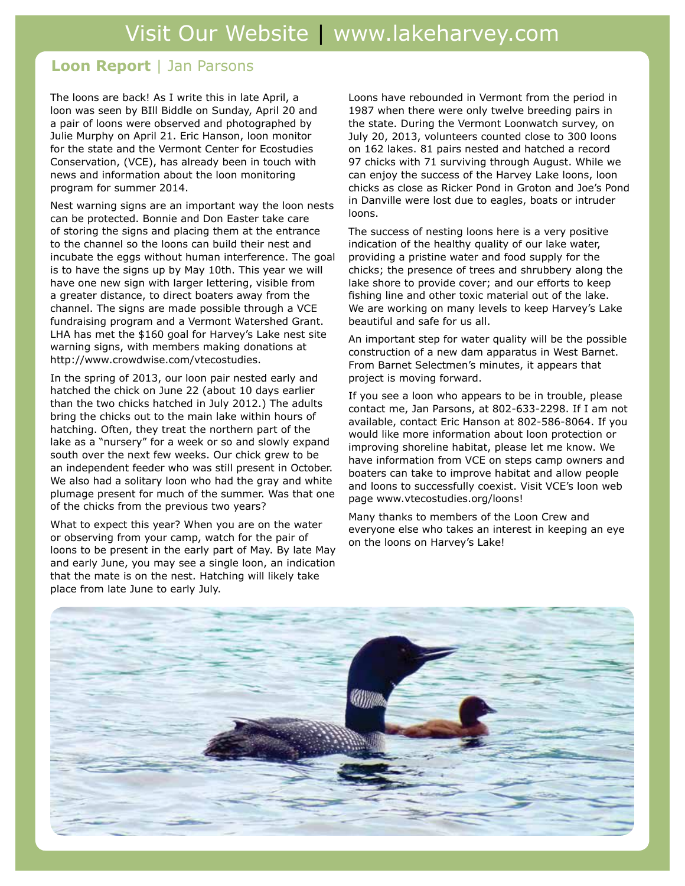#### **Loon Report** | Jan Parsons

The loons are back! As I write this in late April, a loon was seen by BIll Biddle on Sunday, April 20 and a pair of loons were observed and photographed by Julie Murphy on April 21. Eric Hanson, loon monitor for the state and the Vermont Center for Ecostudies Conservation, (VCE), has already been in touch with news and information about the loon monitoring program for summer 2014.

Nest warning signs are an important way the loon nests can be protected. Bonnie and Don Easter take care of storing the signs and placing them at the entrance to the channel so the loons can build their nest and incubate the eggs without human interference. The goal is to have the signs up by May 10th. This year we will have one new sign with larger lettering, visible from a greater distance, to direct boaters away from the channel. The signs are made possible through a VCE fundraising program and a Vermont Watershed Grant. LHA has met the \$160 goal for Harvey's Lake nest site warning signs, with members making donations at http://www.crowdwise.com/vtecostudies.

In the spring of 2013, our loon pair nested early and hatched the chick on June 22 (about 10 days earlier than the two chicks hatched in July 2012.) The adults bring the chicks out to the main lake within hours of hatching. Often, they treat the northern part of the lake as a "nursery" for a week or so and slowly expand south over the next few weeks. Our chick grew to be an independent feeder who was still present in October. We also had a solitary loon who had the gray and white plumage present for much of the summer. Was that one of the chicks from the previous two years?

What to expect this year? When you are on the water or observing from your camp, watch for the pair of loons to be present in the early part of May. By late May and early June, you may see a single loon, an indication that the mate is on the nest. Hatching will likely take place from late June to early July.

Loons have rebounded in Vermont from the period in 1987 when there were only twelve breeding pairs in the state. During the Vermont Loonwatch survey, on July 20, 2013, volunteers counted close to 300 loons on 162 lakes. 81 pairs nested and hatched a record 97 chicks with 71 surviving through August. While we can enjoy the success of the Harvey Lake loons, loon chicks as close as Ricker Pond in Groton and Joe's Pond in Danville were lost due to eagles, boats or intruder loons.

The success of nesting loons here is a very positive indication of the healthy quality of our lake water, providing a pristine water and food supply for the chicks; the presence of trees and shrubbery along the lake shore to provide cover; and our efforts to keep fishing line and other toxic material out of the lake. We are working on many levels to keep Harvey's Lake beautiful and safe for us all.

An important step for water quality will be the possible construction of a new dam apparatus in West Barnet. From Barnet Selectmen's minutes, it appears that project is moving forward.

If you see a loon who appears to be in trouble, please contact me, Jan Parsons, at 802-633-2298. If I am not available, contact Eric Hanson at 802-586-8064. If you would like more information about loon protection or improving shoreline habitat, please let me know. We have information from VCE on steps camp owners and boaters can take to improve habitat and allow people and loons to successfully coexist. Visit VCE's loon web page www.vtecostudies.org/loons!

Many thanks to members of the Loon Crew and everyone else who takes an interest in keeping an eye on the loons on Harvey's Lake!

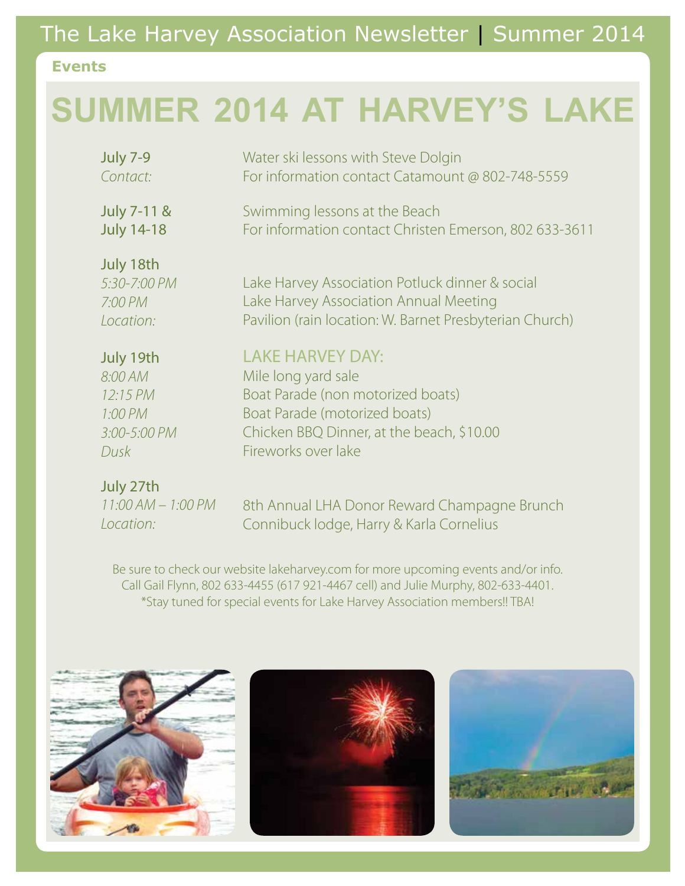# The Lake Harvey Association Newsletter | Summer 2014

#### **Events**

# **SUMMER 2014 AT HARVEY'S LAKE**

| <b>July 7-9</b>                                   | Water ski lessons with Steve Dolgin                                                                                                                  |
|---------------------------------------------------|------------------------------------------------------------------------------------------------------------------------------------------------------|
| Contact:                                          | For information contact Catamount @ 802-748-5559                                                                                                     |
| <b>July 7-11 &amp;</b>                            | Swimming lessons at the Beach                                                                                                                        |
| <b>July 14-18</b>                                 | For information contact Christen Emerson, 802 633-3611                                                                                               |
| July 18th<br>5:30-7:00 PM<br>7:00 PM<br>Location: | Lake Harvey Association Potluck dinner & social<br>Lake Harvey Association Annual Meeting<br>Pavilion (rain location: W. Barnet Presbyterian Church) |
| July 19th                                         | <b>LAKE HARVEY DAY:</b>                                                                                                                              |
| 8:00 AM                                           | Mile long yard sale                                                                                                                                  |
| 12:15 PM                                          | Boat Parade (non motorized boats)                                                                                                                    |
| 1:00 PM                                           | Boat Parade (motorized boats)                                                                                                                        |
| 3:00-5:00 PM                                      | Chicken BBQ Dinner, at the beach, \$10.00                                                                                                            |
| Dusk                                              | Fireworks over lake                                                                                                                                  |
| July 27th                                         |                                                                                                                                                      |

| -11:00 AM — 1:00 PM |  |
|---------------------|--|
| Location:           |  |

8th Annual LHA Donor Reward Champagne Brunch Connibuck lodge, Harry & Karla Cornelius

Be sure to check our website lakeharvey.com for more upcoming events and/or info. Call Gail Flynn, 802 633-4455 (617 921-4467 cell) and Julie Murphy, 802-633-4401. \*Stay tuned for special events for Lake Harvey Association members!! TBA!





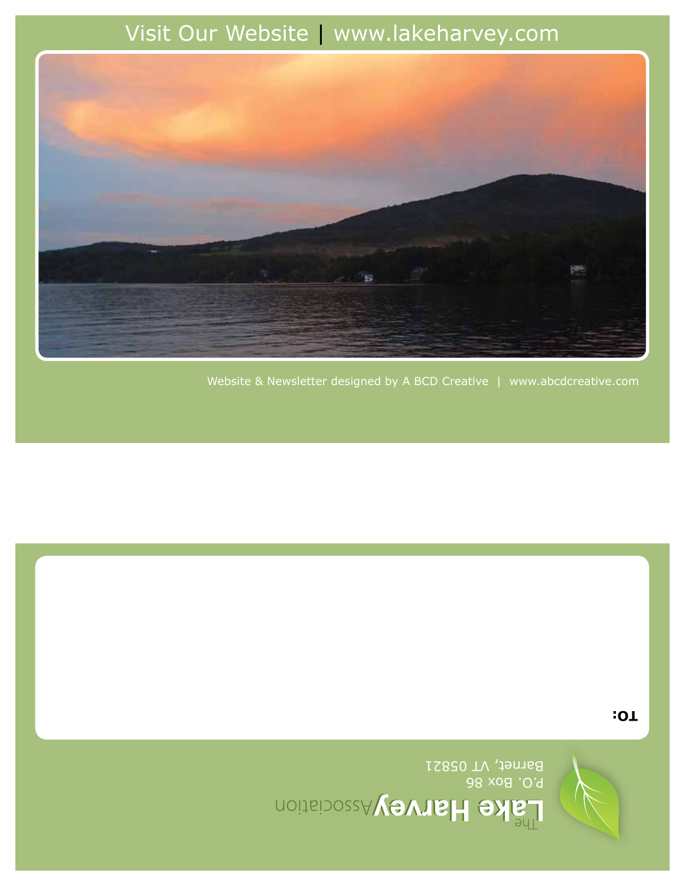

Barnet, VT 05821

**TO:**

Website & Newsletter designed by A BCD Creative | www.abcdcreative.com

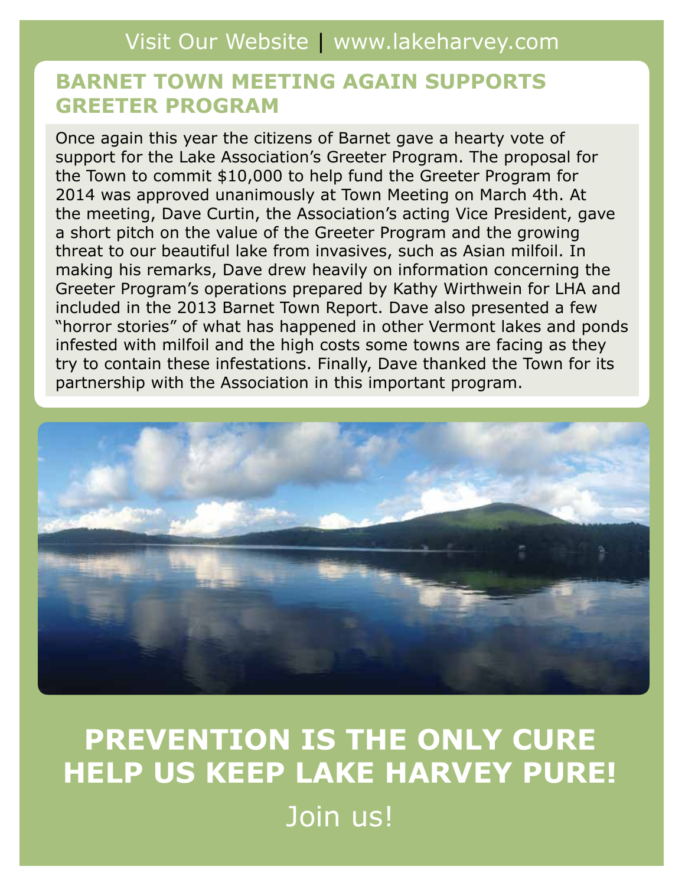## **BARNET TOWN MEETING AGAIN SUPPORTS GREETER PROGRAM**

Once again this year the citizens of Barnet gave a hearty vote of support for the Lake Association's Greeter Program. The proposal for the Town to commit \$10,000 to help fund the Greeter Program for 2014 was approved unanimously at Town Meeting on March 4th. At the meeting, Dave Curtin, the Association's acting Vice President, gave a short pitch on the value of the Greeter Program and the growing threat to our beautiful lake from invasives, such as Asian milfoil. In making his remarks, Dave drew heavily on information concerning the Greeter Program's operations prepared by Kathy Wirthwein for LHA and included in the 2013 Barnet Town Report. Dave also presented a few "horror stories" of what has happened in other Vermont lakes and ponds infested with milfoil and the high costs some towns are facing as they try to contain these infestations. Finally, Dave thanked the Town for its partnership with the Association in this important program.



# **PREVENTION IS THE ONLY CURE HELP US KEEP LAKE HARVEY PURE!** Join us!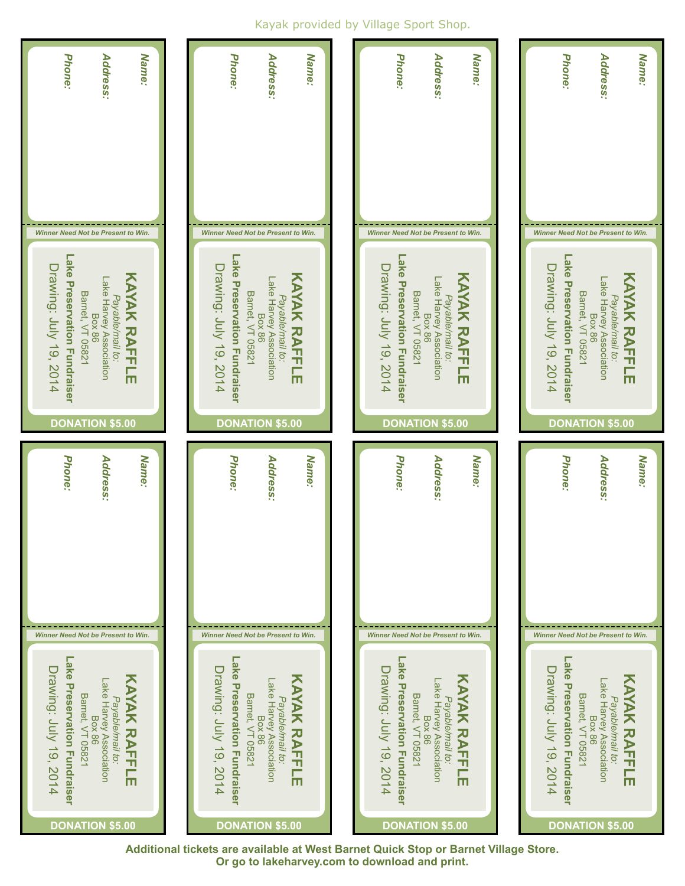#### Kayak provided by Village Sport Shop.



**Additional tickets are available at West Barnet Quick Stop or Barnet Village Store. Or go to lakeharvey.com to download and print.**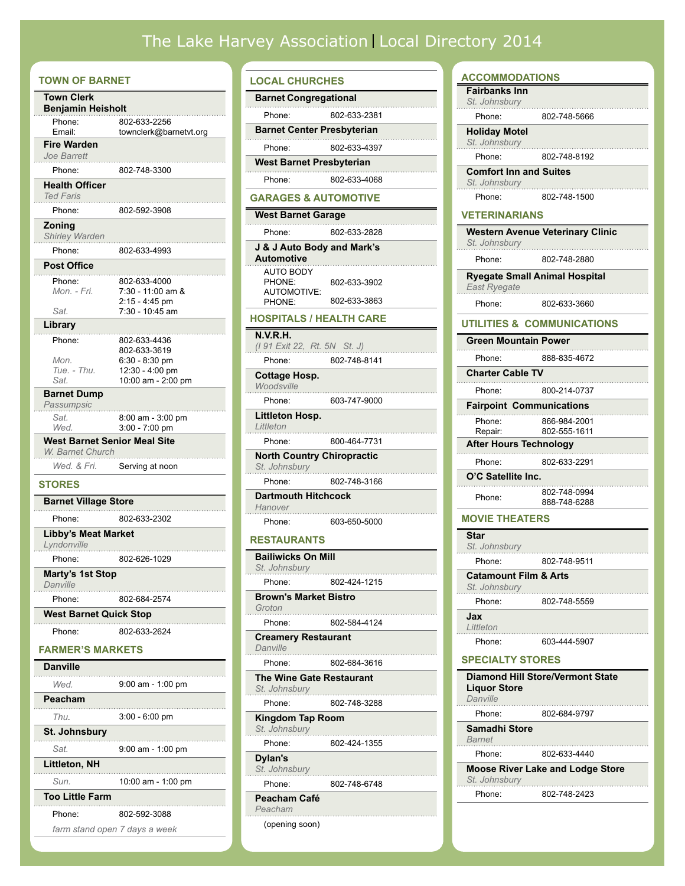### The Lake Harvey Association Local Directory 2014

| <b>TOWN OF BARNET</b>                            |                               |
|--------------------------------------------------|-------------------------------|
| Town Clerk                                       |                               |
| <b>Benjamin Heisholt</b>                         |                               |
| Phone:                                           | 802-633-2256                  |
| Email:                                           | townclerk@barnetvt.org        |
| <b>Fire Warden</b><br>Joe Barrett                |                               |
| Phone:                                           | 802-748-3300                  |
| <b>Health Officer</b>                            |                               |
| <b>Ted Faris</b>                                 |                               |
| Phone:                                           | 802-592-3908                  |
| Zoning<br>Shirley Warden                         |                               |
| Phone:                                           | 802-633-4993                  |
| <b>Post Office</b>                               |                               |
| Phone:                                           | 802-633-4000                  |
| Mon. - Fri.                                      | 7:30 - 11:00 am &             |
|                                                  | 2:15 - 4:45 pm                |
| Sat.                                             | 7:30 - 10:45 am               |
| Library                                          |                               |
| Phone:                                           | 802-633-4436<br>802-633-3619  |
| Mon.                                             | $6:30 - 8:30$ pm              |
| Tue. - Thu.                                      | 12:30 - 4:00 pm               |
| Sat.                                             | 10:00 am - 2:00 pm            |
| <b>Barnet Dump</b><br>Passumpsic                 |                               |
| Sat.                                             | 8:00 am - 3:00 pm             |
| Wed.                                             | 3:00 - 7:00 pm                |
| West Barnet Senior Meal Site<br>W. Barnet Church |                               |
| Wed. & Fri.                                      | Serving at noon               |
| <b>STORES</b>                                    |                               |
| <b>Barnet Village Store</b>                      |                               |
| Phone:                                           | 802-633-2302                  |
| <b>Libby's Meat Market</b><br>Lyndonville        |                               |
| Phone:                                           | 802-626-1029                  |
| Marty's 1st Stop<br>Danville                     |                               |
| Phone:                                           | 802-684-2574                  |
| <b>West Barnet Quick Stop</b>                    |                               |
|                                                  |                               |
| Phone:                                           | 802-633-2624                  |
| <b>FARMER'S MARKETS</b>                          |                               |
| <b>Danville</b>                                  |                               |
| Wed                                              | $9:00$ am - 1:00 pm           |
| Peacham                                          |                               |
| Thu.                                             |                               |
|                                                  | 3:00 - 6:00 pm                |
| St. Johnsbury                                    |                               |
| Sat.                                             | 9:00 am - 1:00 pm             |
| Littleton, NH                                    |                               |
| Sun.                                             | .<br>10:00 am - 1:00 pm       |
| <b>Too Little Farm</b>                           |                               |
|                                                  |                               |
| Phone:                                           | 802-592-3088                  |
|                                                  | farm stand open 7 days a week |

#### **LOCAL CHURCHES Barnet Congregational** Phone: 802-633-2381 **Barnet Center Presbyterian** Phone: 802-633-4397 **West Barnet Presbyterian** Phone: 802-633-4068 **GARAGES & AUTOMOTIVE West Barnet Garage** Phone: 802-633-2828 **J & J Auto Body and Mark's Automotive** AUTO BODY PHONE: AUTOMOTIVE: PHONE: 802-633-3902 802-633-3863 **HOSPITALS / HEALTH CARE N.V.R.H.**  *(I 91 Exit 22, Rt. 5N St. J)* Phone: 802-748-8141 **Cottage Hosp.**  *Woodsville* Phone: 603-747-9000 **Littleton Hosp.**  *Littleton* Phone: 800-464-7731 **North Country Chiropractic** *St. Johnsbury* Phone: 802-748-3166 **Dartmouth Hitchcock**  *Hanover* Phone: 603-650-5000 **RESTAURANTS Bailiwicks On Mill** *St. Johnsbury*

Phone: 802-424-1215 **Brown's Market Bistro** *Groton*  Phone: 802-584-4124 **Creamery Restaurant**  *Danville*  Phone: 802-684-3616 **The Wine Gate Restaurant** *St. Johnsbury*  Phone: 802-748-3288 **Kingdom Tap Room** *St. Johnsbury*  Phone: 802-424-1355 **Dylan's** *St. Johnsbury*  Phone: 802-748-6748

#### **Peacham Café** *Peacham*

(opening soon)

| <b>ACCOMMODATIONS</b>                             |                                         |
|---------------------------------------------------|-----------------------------------------|
| <b>Fairbanks Inn</b><br>St. Johnsbury             |                                         |
| Phone:                                            | 802-748-5666                            |
| <b>Holiday Motel</b><br>St. Johnsbury             |                                         |
| Phone:                                            | 802-748-8192                            |
| <b>Comfort Inn and Suites</b><br>St. Johnsbury    |                                         |
| Phone:                                            | 802-748-1500                            |
| VETERINARIANS                                     |                                         |
| St. Johnsbury                                     | <b>Western Avenue Veterinary Clinic</b> |
| Phone:                                            | 802-748-2880                            |
| East Ryegate                                      | <b>Ryegate Small Animal Hospital</b>    |
| Phone:                                            | 802-633-3660                            |
|                                                   | UTILITIES & COMMUNICATIONS              |
| <b>Green Mountain Power</b>                       |                                         |
| Phone:                                            | 888-835-4672                            |
| <b>Charter Cable TV</b>                           |                                         |
| Phone:                                            | 800-214-0737                            |
| <b>Fairpoint Communications</b>                   |                                         |
| Phone:<br>Repair:                                 | 866-984-2001<br>802-555-1611            |
| After Hours Technology                            |                                         |
| Phone:                                            | 802-633-2291                            |
| O'C Satellite Inc.                                |                                         |
| Phone:                                            | 802-748-0994<br>888-748-6288            |
| <b>MOVIE THEATERS</b>                             |                                         |
| Star<br>St. Johnsbury                             |                                         |
| Phone:                                            | 802-748-9511                            |
| <b>Catamount Film &amp; Arts</b><br>St. Johnsburg |                                         |
| Phone:                                            | 802-748-5559                            |
| Jax<br>Littleton                                  |                                         |
| Phone:                                            | 603-444-5907                            |
| <b>SPECIALTY STORES</b>                           |                                         |
| <b>Liquor Store</b><br>Danville                   | Diamond Hill Store/Vermont State        |
| Phone:                                            | 802-684-9797                            |
| Samadhi Store<br>Barnet                           |                                         |
| Phone:                                            | 802-633-4440                            |
| St. Johnsbury                                     | <b>Moose River Lake and Lodge Store</b> |
| Phone:                                            | 802-748-2423                            |
|                                                   |                                         |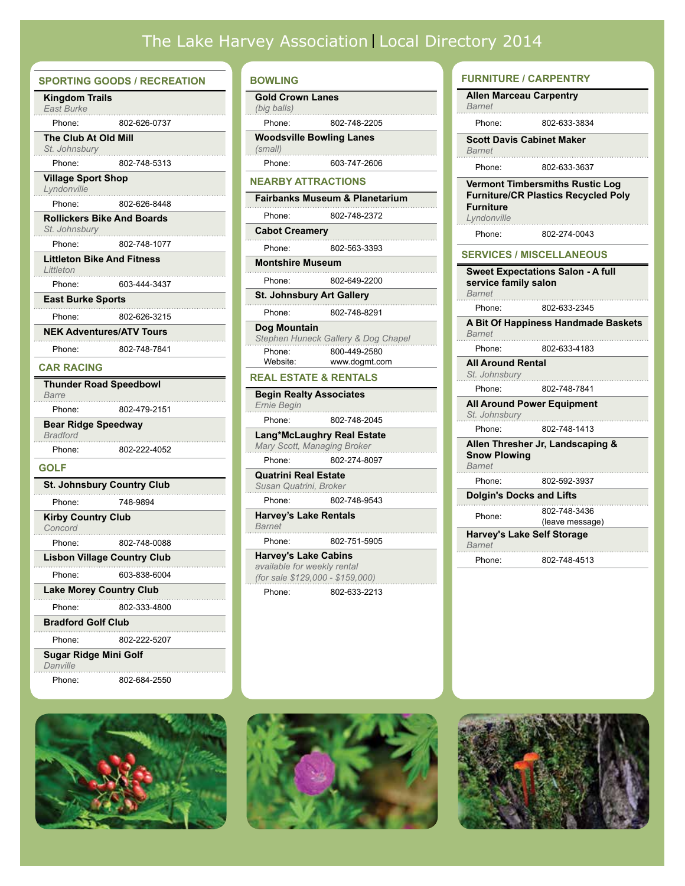# The Lake Harvey Association Local Directory 2014

|                                               | <b>SPORTING GOODS / RECREATION</b>                |
|-----------------------------------------------|---------------------------------------------------|
| <b>Kingdom Trails</b><br><b>East Burke</b>    |                                                   |
| Phone:                                        | 802-626-0737                                      |
| The Club At Old Mill                          |                                                   |
| St. Johnsbury                                 |                                                   |
| Phone:                                        | 802-748-5313                                      |
| <b>Village Sport Shop</b><br>Lyndonville      |                                                   |
| Phone:                                        | 802-626-8448                                      |
|                                               | <b>Rollickers Bike And Boards</b>                 |
| St. Johnsbury                                 |                                                   |
| Phone:                                        | 802-748-1077<br><b>Littleton Bike And Fitness</b> |
| Littleton                                     |                                                   |
| Phone:                                        | 603-444-3437                                      |
| <b>East Burke Sports</b>                      |                                                   |
| Phone:                                        | 802-626-3215                                      |
|                                               | <b>NEK Adventures/ATV Tours</b>                   |
| Phone:                                        | 802-748-7841                                      |
| <b>CAR RACING</b>                             |                                                   |
|                                               | <b>Thunder Road Speedbowl</b>                     |
| Barre                                         |                                                   |
| Phone:                                        | 802-479-2151                                      |
| <b>Bear Ridge Speedway</b><br><b>Bradford</b> |                                                   |
| Phone:                                        | 802-222-4052                                      |
| GOLF                                          |                                                   |
|                                               | <b>St. Johnsbury Country Club</b>                 |
| Phone:                                        | 748-9894                                          |
| <b>Kirby Country Club</b>                     |                                                   |
| Concord                                       |                                                   |
| Phone:                                        | 802-748-0088                                      |
|                                               | <b>Lisbon Village Country Club</b>                |
| Phone:                                        | 603-838-6004                                      |
| . 7                                           | <b>Lake Morey Country Club</b>                    |
| Phone:                                        | 802-333-4800                                      |
| <b>Bradford Golf Club</b>                     |                                                   |
| Phone:                                        | 802-222-5207                                      |
| <b>Sugar Ridge Mini Golf</b><br>Danville      |                                                   |
| Phone:                                        | 802-684-2550                                      |

#### **BOWLING**

| BUWLING                                                                            |                                           |
|------------------------------------------------------------------------------------|-------------------------------------------|
| <b>Gold Crown Lanes</b>                                                            |                                           |
| (big balls)                                                                        |                                           |
| Phone:                                                                             | 802-748-2205                              |
| <b>Woodsville Bowling Lanes</b><br>(small)                                         |                                           |
| Phone:                                                                             | 603-747-2606                              |
| <b>NEARBY ATTRACTIONS</b>                                                          |                                           |
|                                                                                    | <b>Fairbanks Museum &amp; Planetarium</b> |
| Phone:                                                                             | 802-748-2372                              |
| <b>Cabot Creamery</b>                                                              |                                           |
| Phone:                                                                             | 802-563-3393                              |
| <b>Montshire Museum</b>                                                            |                                           |
| Phone:                                                                             | 802-649-2200                              |
| <b>St. Johnsbury Art Gallery</b><br>.                                              |                                           |
| Phone:                                                                             | 802-748-8291                              |
| Dog Mountain                                                                       | Stephen Huneck Gallery & Dog Chapel       |
| Phone:<br>Website:                                                                 | 800-449-2580<br>www.dogmt.com             |
| <b>REAL ESTATE &amp; RENTALS</b>                                                   |                                           |
| <b>Begin Realty Associates</b><br>Ernie Begin                                      |                                           |
| Phone:                                                                             | 802-748-2045                              |
| <b>Lang*McLaughry Real Estate</b><br>Mary Scott, Managing Broker                   |                                           |
| Phone:                                                                             | 802-274-8097                              |
| <b>Quatrini Real Estate</b><br>Susan Quatrini, Broker                              |                                           |
| Phone:                                                                             | 802-748-9543                              |
| <b>Harvey's Lake Rentals</b><br>Barnet                                             |                                           |
| Phone:                                                                             | 802-751-5905                              |
| <b>Harvey's Lake Cabins</b><br>available for weekly rental<br>$150x$ and $0100000$ | 01501                                     |

*(for sale \$129,000 - \$159,000)* . . . . . . . . . . . . . . . . Phone: 802-633-2213

#### **FURNITURE / CARPENTRY**

| Allen Marceau Carpentry<br>Barnet         |                                                                                      |
|-------------------------------------------|--------------------------------------------------------------------------------------|
| Phone:                                    | 802-633-3834                                                                         |
| <b>Barnet</b>                             | <b>Scott Davis Cabinet Maker</b>                                                     |
| Phone:                                    | 802-633-3637                                                                         |
| <b>Furniture</b><br>Lyndonville           | <b>Vermont Timbersmiths Rustic Log</b><br><b>Furniture/CR Plastics Recycled Poly</b> |
| Phone:                                    | 802-274-0043                                                                         |
|                                           | <b>SERVICES / MISCELLANEOUS</b>                                                      |
| service family salon<br><b>Barnet</b>     | <b>Sweet Expectations Salon - A full</b>                                             |
| Phone:                                    | 802-633-2345                                                                         |
| <b>Barnet</b>                             | A Bit Of Happiness Handmade Baskets                                                  |
| Phone:                                    | 802-633-4183                                                                         |
| <b>All Around Rental</b><br>St. Johnsbury |                                                                                      |
| Phone:                                    | 802-748-7841                                                                         |
| St. Johnsbury                             | <b>All Around Power Equipment</b>                                                    |
| Phone:                                    | 802-748-1413                                                                         |
| <b>Snow Plowing</b><br>Barnet             | Allen Thresher Jr, Landscaping &                                                     |
| Phone:                                    | 802-592-3937                                                                         |
| <b>Dolgin's Docks and Lifts</b>           |                                                                                      |
| Phone:                                    | 802-748-3436<br>(leave message)                                                      |
| Barnet                                    | <b>Harvey's Lake Self Storage</b>                                                    |
| Phone:                                    | 802-748-4513                                                                         |





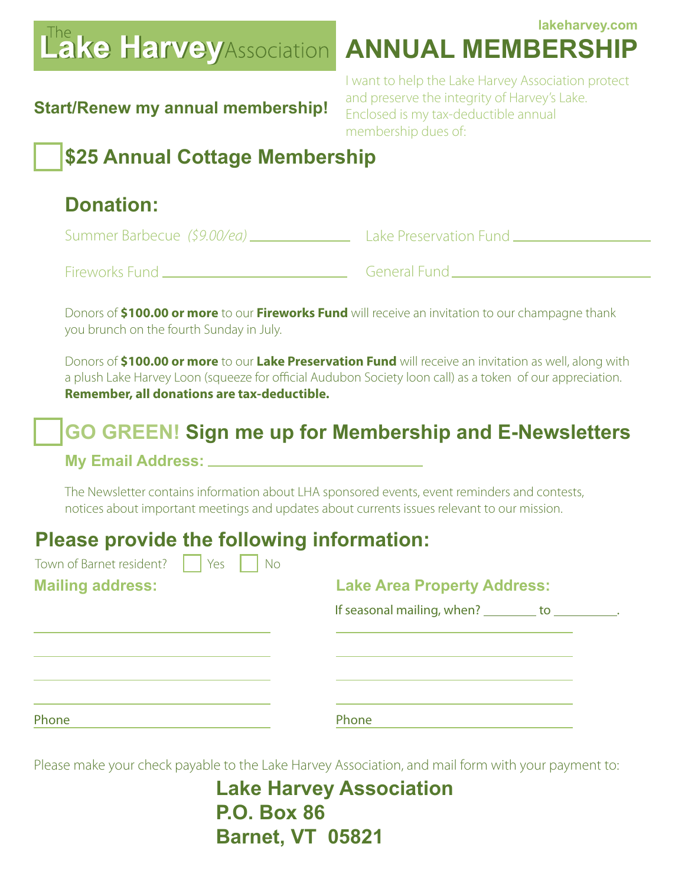# **Lake Harvey**Association

### **lakeharvey.com Annual Membership**

## **Start/Renew my annual membership!**

I want to help the Lake Harvey Association protect and preserve the integrity of Harvey's Lake. Enclosed is my tax-deductible annual membership dues of:

# **\$25 Annual Cottage Membership**

# **Donation:**

Summer Barbecue *(\$9.00/ea)* Lake Preservation Fund Fireworks Fund **General Fund** 

Donors of **\$100.00 or more** to our **Fireworks Fund** will receive an invitation to our champagne thank you brunch on the fourth Sunday in July.

Donors of **\$100.00 or more** to our **Lake Preservation Fund** will receive an invitation as well, along with a plush Lake Harvey Loon (squeeze for official Audubon Society loon call) as a token of our appreciation. **Remember, all donations are tax-deductible.**

# **GO GREEN! Sign me up for Membership and E-Newsletters**

### **My Email Address:**

The Newsletter contains information about LHA sponsored events, event reminders and contests, notices about important meetings and updates about currents issues relevant to our mission.

# **Please provide the following information:**

| Town of Barnet resident? | Yes | <b>No</b> |                                           |  |  |
|--------------------------|-----|-----------|-------------------------------------------|--|--|
| <b>Mailing address:</b>  |     |           | <b>Lake Area Property Address:</b>        |  |  |
|                          |     |           | If seasonal mailing, when? _________ to _ |  |  |
|                          |     |           |                                           |  |  |
|                          |     |           |                                           |  |  |
|                          |     |           |                                           |  |  |
|                          |     |           |                                           |  |  |
| Phone                    |     |           | Phone                                     |  |  |

Please make your check payable to the Lake Harvey Association, and mail form with your payment to:

**Lake Harvey Association P.O. Box 86 Barnet, VT 05821**